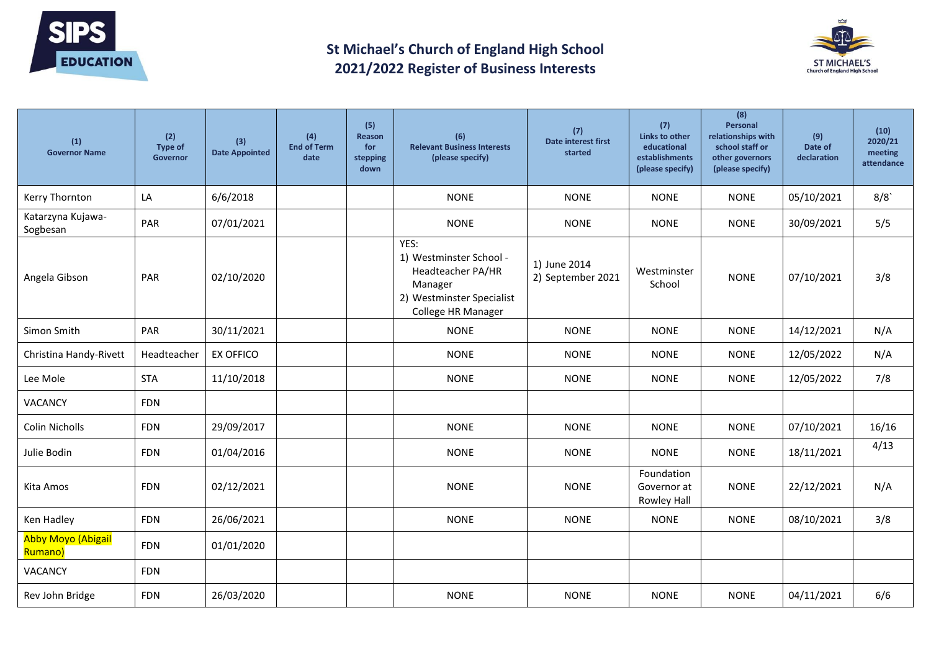

## **St Michael's Church of England High School 2021/2022 Register of Business Interests**



| (1)<br><b>Governor Name</b>          | (2)<br>Type of<br>Governor | (3)<br><b>Date Appointed</b> | (4)<br><b>End of Term</b><br>date | (5)<br><b>Reason</b><br>for<br>stepping<br>down | (6)<br><b>Relevant Business Interests</b><br>(please specify)                                                      | (7)<br><b>Date interest first</b><br>started | (7)<br>Links to other<br>educational<br><b>establishments</b><br>(please specify) | (8)<br>Personal<br>relationships with<br>school staff or<br>other governors<br>(please specify) | (9)<br>Date of<br>declaration | (10)<br>2020/21<br>meeting<br>attendance |
|--------------------------------------|----------------------------|------------------------------|-----------------------------------|-------------------------------------------------|--------------------------------------------------------------------------------------------------------------------|----------------------------------------------|-----------------------------------------------------------------------------------|-------------------------------------------------------------------------------------------------|-------------------------------|------------------------------------------|
| Kerry Thornton                       | LA                         | 6/6/2018                     |                                   |                                                 | <b>NONE</b>                                                                                                        | <b>NONE</b>                                  | <b>NONE</b>                                                                       | <b>NONE</b>                                                                                     | 05/10/2021                    | 8/8                                      |
| Katarzyna Kujawa-<br>Sogbesan        | PAR                        | 07/01/2021                   |                                   |                                                 | <b>NONE</b>                                                                                                        | <b>NONE</b>                                  | <b>NONE</b>                                                                       | <b>NONE</b>                                                                                     | 30/09/2021                    | 5/5                                      |
| Angela Gibson                        | PAR                        | 02/10/2020                   |                                   |                                                 | YES:<br>1) Westminster School -<br>Headteacher PA/HR<br>Manager<br>2) Westminster Specialist<br>College HR Manager | 1) June 2014<br>2) September 2021            | Westminster<br>School                                                             | <b>NONE</b>                                                                                     | 07/10/2021                    | 3/8                                      |
| Simon Smith                          | PAR                        | 30/11/2021                   |                                   |                                                 | <b>NONE</b>                                                                                                        | <b>NONE</b>                                  | <b>NONE</b>                                                                       | <b>NONE</b>                                                                                     | 14/12/2021                    | N/A                                      |
| Christina Handy-Rivett               | Headteacher                | <b>EX OFFICO</b>             |                                   |                                                 | <b>NONE</b>                                                                                                        | <b>NONE</b>                                  | <b>NONE</b>                                                                       | <b>NONE</b>                                                                                     | 12/05/2022                    | N/A                                      |
| Lee Mole                             | <b>STA</b>                 | 11/10/2018                   |                                   |                                                 | <b>NONE</b>                                                                                                        | <b>NONE</b>                                  | <b>NONE</b>                                                                       | <b>NONE</b>                                                                                     | 12/05/2022                    | 7/8                                      |
| VACANCY                              | <b>FDN</b>                 |                              |                                   |                                                 |                                                                                                                    |                                              |                                                                                   |                                                                                                 |                               |                                          |
| <b>Colin Nicholls</b>                | <b>FDN</b>                 | 29/09/2017                   |                                   |                                                 | <b>NONE</b>                                                                                                        | <b>NONE</b>                                  | <b>NONE</b>                                                                       | <b>NONE</b>                                                                                     | 07/10/2021                    | 16/16                                    |
| Julie Bodin                          | <b>FDN</b>                 | 01/04/2016                   |                                   |                                                 | <b>NONE</b>                                                                                                        | <b>NONE</b>                                  | <b>NONE</b>                                                                       | <b>NONE</b>                                                                                     | 18/11/2021                    | 4/13                                     |
| Kita Amos                            | <b>FDN</b>                 | 02/12/2021                   |                                   |                                                 | <b>NONE</b>                                                                                                        | <b>NONE</b>                                  | Foundation<br>Governor at<br>Rowley Hall                                          | <b>NONE</b>                                                                                     | 22/12/2021                    | N/A                                      |
| Ken Hadley                           | <b>FDN</b>                 | 26/06/2021                   |                                   |                                                 | <b>NONE</b>                                                                                                        | <b>NONE</b>                                  | <b>NONE</b>                                                                       | <b>NONE</b>                                                                                     | 08/10/2021                    | 3/8                                      |
| <b>Abby Moyo (Abigail</b><br>Rumano) | <b>FDN</b>                 | 01/01/2020                   |                                   |                                                 |                                                                                                                    |                                              |                                                                                   |                                                                                                 |                               |                                          |
| VACANCY                              | <b>FDN</b>                 |                              |                                   |                                                 |                                                                                                                    |                                              |                                                                                   |                                                                                                 |                               |                                          |
| Rev John Bridge                      | <b>FDN</b>                 | 26/03/2020                   |                                   |                                                 | <b>NONE</b>                                                                                                        | <b>NONE</b>                                  | <b>NONE</b>                                                                       | <b>NONE</b>                                                                                     | 04/11/2021                    | 6/6                                      |